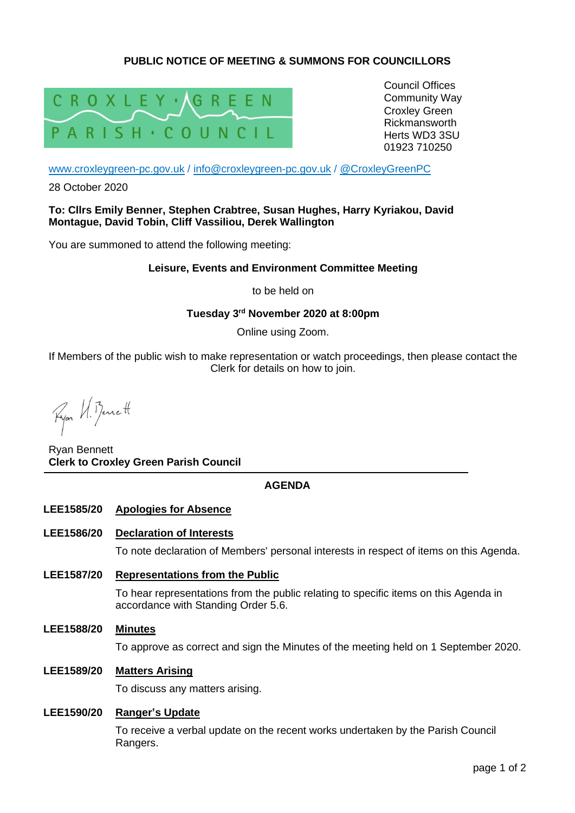# **PUBLIC NOTICE OF MEETING & SUMMONS FOR COUNCILLORS**



Council Offices Community Way Croxley Green Rickmansworth Herts WD3 3SU 01923 710250

[www.croxleygreen-pc.gov.uk](http://www.croxleygreen-pc.gov.uk/) / [info@croxleygreen-pc.gov.uk](mailto:info@croxleygreen-pc.gov.uk) / [@CroxleyGreenPC](https://twitter.com/CroxleyGreenPC)

28 October 2020

### **To: Cllrs Emily Benner, Stephen Crabtree, Susan Hughes, Harry Kyriakou, David Montague, David Tobin, Cliff Vassiliou, Derek Wallington**

You are summoned to attend the following meeting:

## **Leisure, Events and Environment Committee Meeting**

to be held on

# **Tuesday 3 rd November 2020 at 8:00pm**

Online using Zoom.

If Members of the public wish to make representation or watch proceedings, then please contact the Clerk for details on how to join.

Ryon VI. Bennett

Ryan Bennett **Clerk to Croxley Green Parish Council**

# **AGENDA**

## **LEE1585/20 Apologies for Absence**

#### **LEE1586/20 Declaration of Interests**

To note declaration of Members' personal interests in respect of items on this Agenda.

**LEE1587/20 Representations from the Public**

To hear representations from the public relating to specific items on this Agenda in accordance with Standing Order 5.6.

**LEE1588/20 Minutes**

To approve as correct and sign the Minutes of the meeting held on 1 September 2020.

**LEE1589/20 Matters Arising**

To discuss any matters arising.

## **LEE1590/20 Ranger's Update**

To receive a verbal update on the recent works undertaken by the Parish Council Rangers.